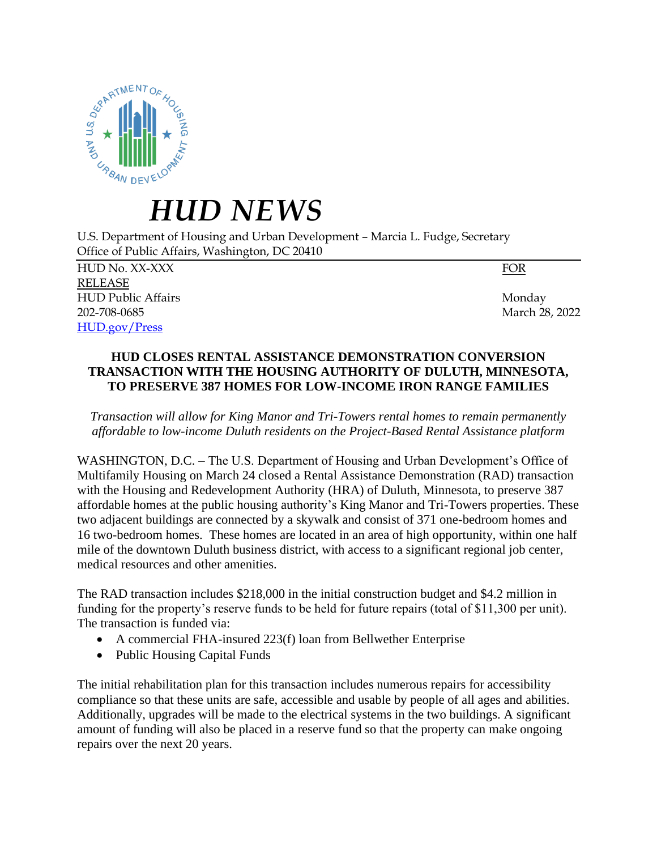

## *HUD NEWS*

U.S. Department of Housing and Urban Development – Marcia L. Fudge, Secretary Office of Public Affairs, Washington, DC 20410

HUD No. XX-XXX FOR RELEASE HUD Public Affairs Monday 202-708-0685 March 28, 2022 [HUD.gov/Press](https://www.hud.gov/press)

## **HUD CLOSES RENTAL ASSISTANCE DEMONSTRATION CONVERSION TRANSACTION WITH THE HOUSING AUTHORITY OF DULUTH, MINNESOTA, TO PRESERVE 387 HOMES FOR LOW-INCOME IRON RANGE FAMILIES**

*Transaction will allow for King Manor and Tri-Towers rental homes to remain permanently affordable to low-income Duluth residents on the Project-Based Rental Assistance platform*

WASHINGTON, D.C. – The U.S. Department of Housing and Urban Development's Office of Multifamily Housing on March 24 closed a Rental Assistance Demonstration (RAD) transaction with the Housing and Redevelopment Authority (HRA) of Duluth, Minnesota, to preserve 387 affordable homes at the public housing authority's King Manor and Tri-Towers properties. These two adjacent buildings are connected by a skywalk and consist of 371 one-bedroom homes and 16 two-bedroom homes. These homes are located in an area of high opportunity, within one half mile of the downtown Duluth business district, with access to a significant regional job center, medical resources and other amenities.

The RAD transaction includes \$218,000 in the initial construction budget and \$4.2 million in funding for the property's reserve funds to be held for future repairs (total of \$11,300 per unit). The transaction is funded via:

- A commercial FHA-insured 223(f) loan from Bellwether Enterprise
- Public Housing Capital Funds

The initial rehabilitation plan for this transaction includes numerous repairs for accessibility compliance so that these units are safe, accessible and usable by people of all ages and abilities. Additionally, upgrades will be made to the electrical systems in the two buildings. A significant amount of funding will also be placed in a reserve fund so that the property can make ongoing repairs over the next 20 years.